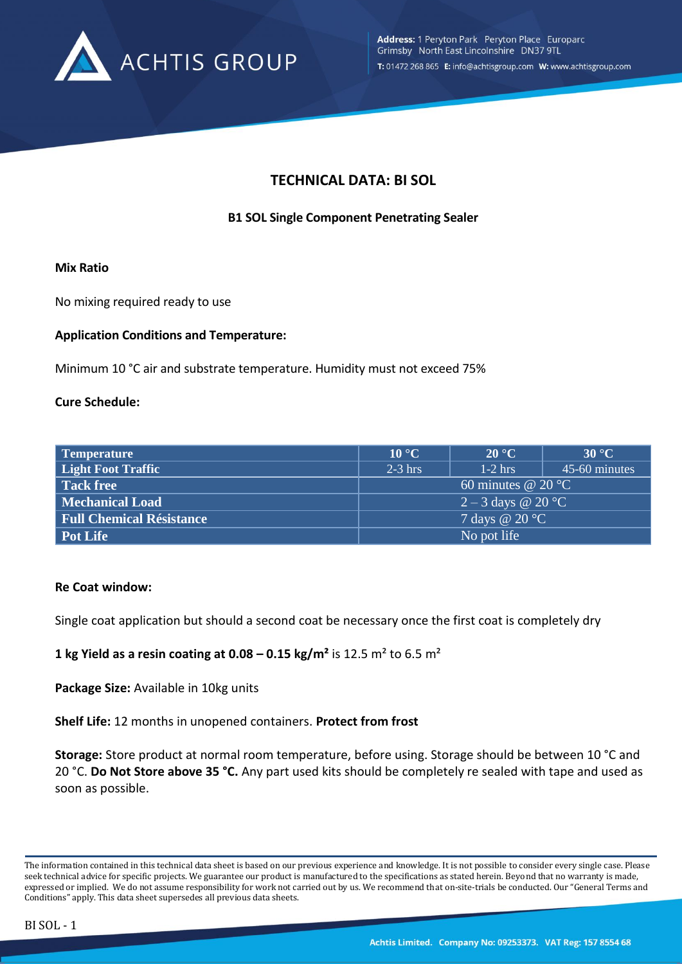

# **TECHNICAL DATA: BI SOL**

## **B1 SOL Single Component Penetrating Sealer**

#### **Mix Ratio**

No mixing required ready to use

### **Application Conditions and Temperature:**

Minimum 10 °C air and substrate temperature. Humidity must not exceed 75%

### **Cure Schedule:**

| Temperature                     | $10^{\circ}$ C               | $20^{\circ}$ C | 30 °C         |
|---------------------------------|------------------------------|----------------|---------------|
| <b>Light Foot Traffic</b>       | $2-3$ hrs                    | $1-2$ hrs      | 45-60 minutes |
| <b>Tack free</b>                | 60 minutes @ 20 $^{\circ}$ C |                |               |
| <b>Mechanical Load</b>          | $2-3$ days @ 20 °C           |                |               |
| <b>Full Chemical Résistance</b> | 7 days @ $20 °C$             |                |               |
| Pot Life                        | No pot life                  |                |               |

#### **Re Coat window:**

Single coat application but should a second coat be necessary once the first coat is completely dry

### **1** kg Yield as a resin coating at  $0.08 - 0.15$  kg/m<sup>2</sup> is 12.5 m<sup>2</sup> to 6.5 m<sup>2</sup>

**Package Size:** Available in 10kg units

**Shelf Life:** 12 months in unopened containers. **Protect from frost**

**Storage:** Store product at normal room temperature, before using. Storage should be between 10 °C and 20 °C. **Do Not Store above 35 °C.** Any part used kits should be completely re sealed with tape and used as soon as possible.

The information contained in this technical data sheet is based on our previous experience and knowledge. It is not possible to consider every single case. Please seek technical advice for specific projects. We guarantee our product is manufactured to the specifications as stated herein. Beyond that no warranty is made, expressed or implied. We do not assume responsibility for work not carried out by us. We recommend that on-site-trials be conducted. Our "General Terms and Conditions" apply. This data sheet supersedes all previous data sheets.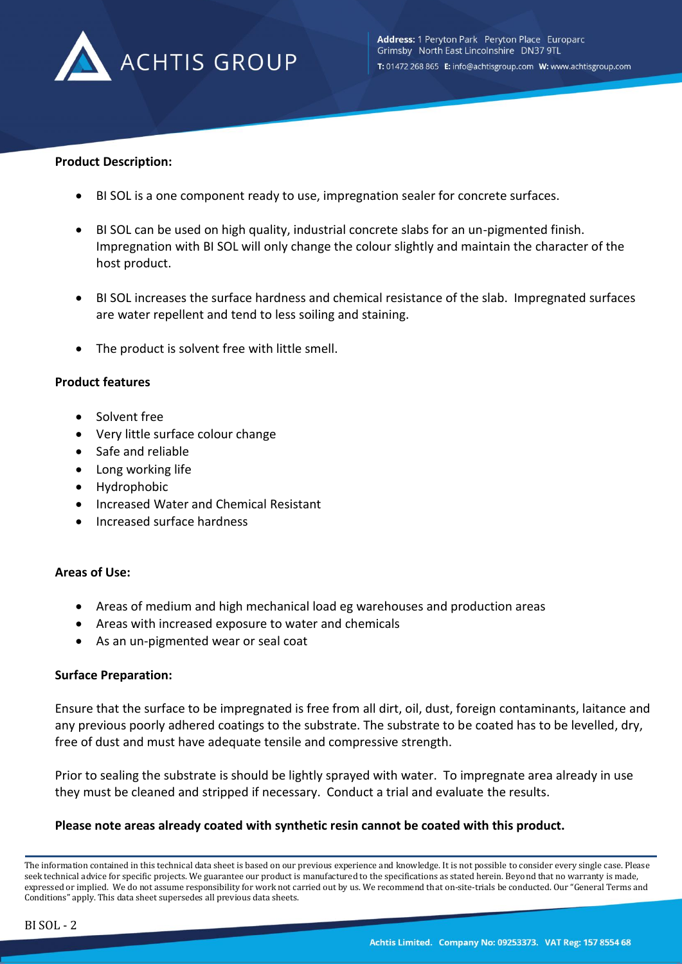

#### **Product Description:**

- BI SOL is a one component ready to use, impregnation sealer for concrete surfaces.
- BI SOL can be used on high quality, industrial concrete slabs for an un-pigmented finish. Impregnation with BI SOL will only change the colour slightly and maintain the character of the host product.
- BI SOL increases the surface hardness and chemical resistance of the slab. Impregnated surfaces are water repellent and tend to less soiling and staining.
- The product is solvent free with little smell.

#### **Product features**

- Solvent free
- Very little surface colour change
- Safe and reliable
- Long working life
- Hydrophobic
- Increased Water and Chemical Resistant
- Increased surface hardness

### **Areas of Use:**

- Areas of medium and high mechanical load eg warehouses and production areas
- Areas with increased exposure to water and chemicals
- As an un-pigmented wear or seal coat

### **Surface Preparation:**

Ensure that the surface to be impregnated is free from all dirt, oil, dust, foreign contaminants, laitance and any previous poorly adhered coatings to the substrate. The substrate to be coated has to be levelled, dry, free of dust and must have adequate tensile and compressive strength.

Prior to sealing the substrate is should be lightly sprayed with water. To impregnate area already in use they must be cleaned and stripped if necessary. Conduct a trial and evaluate the results.

### **Please note areas already coated with synthetic resin cannot be coated with this product.**

The information contained in this technical data sheet is based on our previous experience and knowledge. It is not possible to consider every single case. Please seek technical advice for specific projects. We guarantee our product is manufactured to the specifications as stated herein. Beyond that no warranty is made, expressed or implied. We do not assume responsibility for work not carried out by us. We recommend that on-site-trials be conducted. Our "General Terms and Conditions" apply. This data sheet supersedes all previous data sheets.